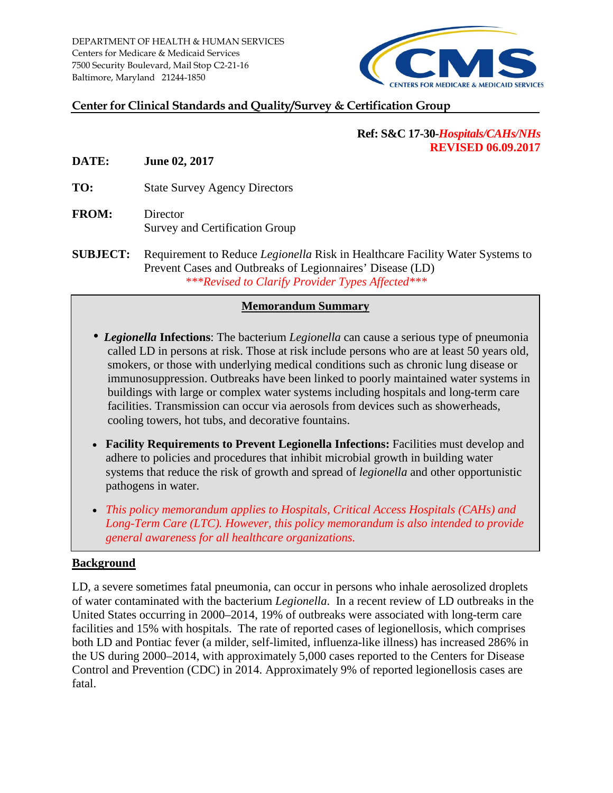

## **Center for Clinical Standards and Quality/Survey & Certification Group**

### **Ref: S&C 17-30-***Hospitals/CAHs/NHs* **REVISED 06.09.2017**

**DATE: June 02, 2017**

**TO:** State Survey Agency Directors

- **FROM:** Director Survey and Certification Group
- **SUBJECT:** Requirement to Reduce *Legionella* Risk in Healthcare Facility Water Systems to Prevent Cases and Outbreaks of Legionnaires' Disease (LD) *\*\*\*Revised to Clarify Provider Types Affected\*\*\**

### **Memorandum Summary**

- *Legionella* **Infections**: The bacterium *Legionella* can cause a serious type of pneumonia called LD in persons at risk. Those at risk include persons who are at least 50 years old, smokers, or those with underlying medical conditions such as chronic lung disease or immunosuppression. Outbreaks have been linked to poorly maintained water systems in buildings with large or complex water systems including hospitals and long-term care facilities. Transmission can occur via aerosols from devices such as showerheads, cooling towers, hot tubs, and decorative fountains.
- **Facility Requirements to Prevent Legionella Infections:** Facilities must develop and adhere to policies and procedures that inhibit microbial growth in building water systems that reduce the risk of growth and spread of *legionella* and other opportunistic pathogens in water.
- *This policy memorandum applies to Hospitals, Critical Access Hospitals (CAHs) and Long-Term Care (LTC). However, this policy memorandum is also intended to provide general awareness for all healthcare organizations.*

#### **Background**

LD, a severe sometimes fatal pneumonia, can occur in persons who inhale aerosolized droplets of water contaminated with the bacterium *Legionella*. In a recent review of LD outbreaks in the United States occurring in 2000–2014, 19% of outbreaks were associated with long-term care facilities and 15% with hospitals. The rate of reported cases of legionellosis, which comprises both LD and Pontiac fever (a milder, self-limited, influenza-like illness) has increased 286% in the US during 2000–2014, with approximately 5,000 cases reported to the Centers for Disease Control and Prevention (CDC) in 2014. Approximately 9% of reported legionellosis cases are fatal.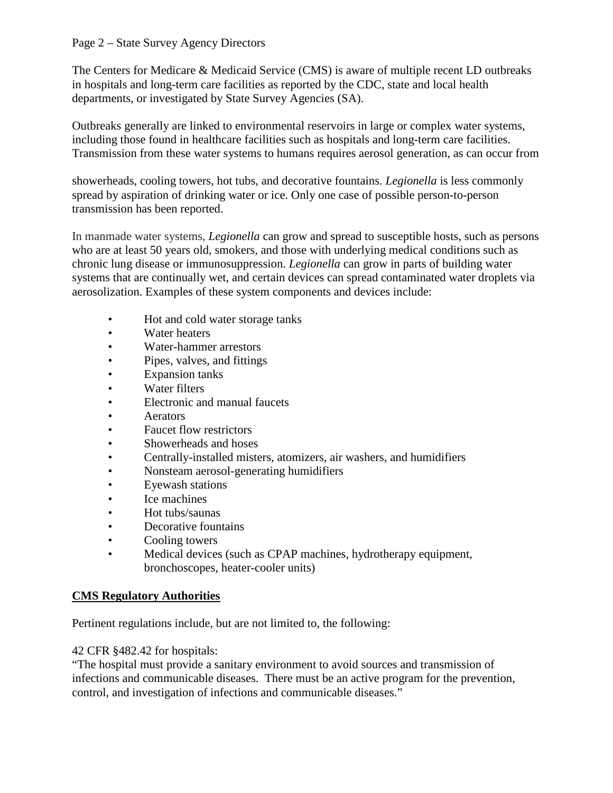#### Page 2 – State Survey Agency Directors

The Centers for Medicare & Medicaid Service (CMS) is aware of multiple recent LD outbreaks in hospitals and long-term care facilities as reported by the CDC, state and local health departments, or investigated by State Survey Agencies (SA).

Outbreaks generally are linked to environmental reservoirs in large or complex water systems, including those found in healthcare facilities such as hospitals and long-term care facilities. Transmission from these water systems to humans requires aerosol generation, as can occur from

showerheads, cooling towers, hot tubs, and decorative fountains. *Legionella* is less commonly spread by aspiration of drinking water or ice. Only one case of possible person-to-person transmission has been reported.

In manmade water systems, *Legionella* can grow and spread to susceptible hosts, such as persons who are at least 50 years old, smokers, and those with underlying medical conditions such as chronic lung disease or immunosuppression. *Legionella* can grow in parts of building water systems that are continually wet, and certain devices can spread contaminated water droplets via aerosolization. Examples of these system components and devices include:

- Hot and cold water storage tanks
- Water heaters
- Water-hammer arrestors
- Pipes, valves, and fittings
- Expansion tanks
- Water filters
- Electronic and manual faucets
- Aerators
- Faucet flow restrictors
- Showerheads and hoses
- Centrally-installed misters, atomizers, air washers, and humidifiers
- Nonsteam aerosol-generating humidifiers
- Eyewash stations
- Ice machines
- Hot tubs/saunas
- Decorative fountains
- Cooling towers
- Medical devices (such as CPAP machines, hydrotherapy equipment, bronchoscopes, heater-cooler units)

### **CMS Regulatory Authorities**

Pertinent regulations include, but are not limited to, the following:

42 CFR §482.42 for hospitals:

"The hospital must provide a sanitary environment to avoid sources and transmission of infections and communicable diseases. There must be an active program for the prevention, control, and investigation of infections and communicable diseases."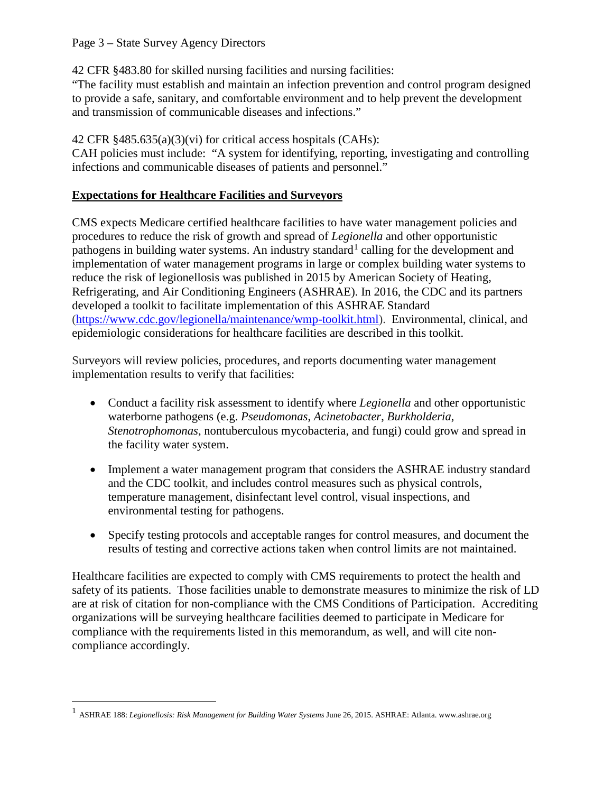### Page 3 – State Survey Agency Directors

42 CFR §483.80 for skilled nursing facilities and nursing facilities:

"The facility must establish and maintain an infection prevention and control program designed to provide a safe, sanitary, and comfortable environment and to help prevent the development and transmission of communicable diseases and infections."

# 42 CFR §485.635(a)(3)(vi) for critical access hospitals (CAHs):

CAH policies must include: "A system for identifying, reporting, investigating and controlling infections and communicable diseases of patients and personnel."

## **Expectations for Healthcare Facilities and Surveyors**

CMS expects Medicare certified healthcare facilities to have water management policies and procedures to reduce the risk of growth and spread of *Legionella* and other opportunistic pathogens in building water systems. An industry standard<sup>[1](#page-2-0)</sup> calling for the development and implementation of water management programs in large or complex building water systems to reduce the risk of legionellosis was published in 2015 by American Society of Heating, Refrigerating, and Air Conditioning Engineers (ASHRAE). In 2016, the CDC and its partners developed a toolkit to facilitate implementation of this ASHRAE Standard [\(https://www.cdc.gov/legionella/maintenance/wmp-toolkit.html\)](https://www.cdc.gov/legionella/maintenance/wmp-toolkit.html). Environmental, clinical, and epidemiologic considerations for healthcare facilities are described in this toolkit.

Surveyors will review policies, procedures, and reports documenting water management implementation results to verify that facilities:

- Conduct a facility risk assessment to identify where *Legionella* and other opportunistic waterborne pathogens (e.g. *Pseudomonas*, *Acinetobacter*, *Burkholderia*, *Stenotrophomonas*, nontuberculous mycobacteria, and fungi) could grow and spread in the facility water system.
- Implement a water management program that considers the ASHRAE industry standard and the CDC toolkit, and includes control measures such as physical controls, temperature management, disinfectant level control, visual inspections, and environmental testing for pathogens.
- Specify testing protocols and acceptable ranges for control measures, and document the results of testing and corrective actions taken when control limits are not maintained.

Healthcare facilities are expected to comply with CMS requirements to protect the health and safety of its patients. Those facilities unable to demonstrate measures to minimize the risk of LD are at risk of citation for non-compliance with the CMS Conditions of Participation. Accrediting organizations will be surveying healthcare facilities deemed to participate in Medicare for compliance with the requirements listed in this memorandum, as well, and will cite noncompliance accordingly.

<span id="page-2-0"></span> <sup>1</sup> ASHRAE 188: *Legionellosis: Risk Management for Building Water Systems* June 26, 2015. ASHRAE: Atlanta. www.ashrae.org